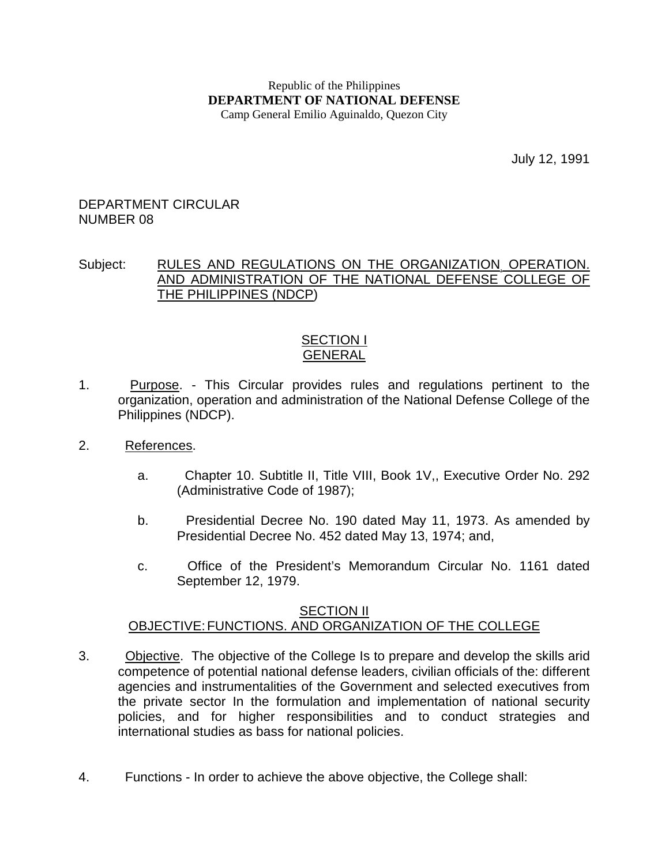#### Republic of the Philippines **DEPARTMENT OF NATIONAL DEFENSE**  Camp General Emilio Aguinaldo, Quezon City

July 12, 1991

#### DEPARTMENT CIRCULAR NUMBER 08

### Subject: RULES AND REGULATIONS ON THE ORGANIZATION, OPERATION. AND ADMINISTRATION OF THE NATIONAL DEFENSE COLLEGE OF THE PHILIPPINES (NDCP)

### SECTION I **GENERAL**

- 1. Purpose. This Circular provides rules and regulations pertinent to the organization, operation and administration of the National Defense College of the Philippines (NDCP).
- 2. References.
	- a. Chapter 10. Subtitle II, Title VIII, Book 1V,, Executive Order No. 292 (Administrative Code of 1987);
	- b. Presidential Decree No. 190 dated May 11, 1973. As amended by Presidential Decree No. 452 dated May 13, 1974; and,
	- c. Office of the President's Memorandum Circular No. 1161 dated September 12, 1979.

### **SECTION II** OBJECTIVE: FUNCTIONS. AND ORGANIZATION OF THE COLLEGE

- 3. Objective. The objective of the College Is to prepare and develop the skills arid competence of potential national defense leaders, civilian officials of the: different agencies and instrumentalities of the Government and selected executives from the private sector In the formulation and implementation of national security policies, and for higher responsibilities and to conduct strategies and international studies as bass for national policies.
- 4. Functions In order to achieve the above objective, the College shall: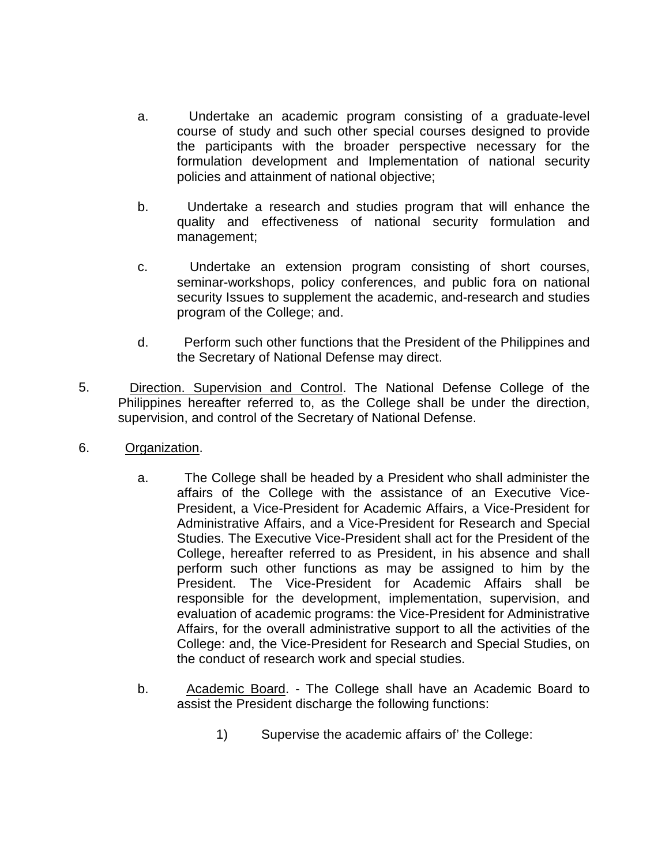- a. Undertake an academic program consisting of a graduate-level course of study and such other special courses designed to provide the participants with the broader perspective necessary for the formulation development and Implementation of national security policies and attainment of national objective;
- b. Undertake a research and studies program that will enhance the quality and effectiveness of national security formulation and management;
- c. Undertake an extension program consisting of short courses, seminar-workshops, policy conferences, and public fora on national security Issues to supplement the academic, and-research and studies program of the College; and.
- d. Perform such other functions that the President of the Philippines and the Secretary of National Defense may direct.
- 5. Direction. Supervision and Control. The National Defense College of the Philippines hereafter referred to, as the College shall be under the direction, supervision, and control of the Secretary of National Defense.
- 6. Organization.
	- a. The College shall be headed by a President who shall administer the affairs of the College with the assistance of an Executive Vice-President, a Vice-President for Academic Affairs, a Vice-President for Administrative Affairs, and a Vice-President for Research and Special Studies. The Executive Vice-President shall act for the President of the College, hereafter referred to as President, in his absence and shall perform such other functions as may be assigned to him by the President. The Vice-President for Academic Affairs shall be responsible for the development, implementation, supervision, and evaluation of academic programs: the Vice-President for Administrative Affairs, for the overall administrative support to all the activities of the College: and, the Vice-President for Research and Special Studies, on the conduct of research work and special studies.
	- b. Academic Board. The College shall have an Academic Board to assist the President discharge the following functions:
		- 1) Supervise the academic affairs of' the College: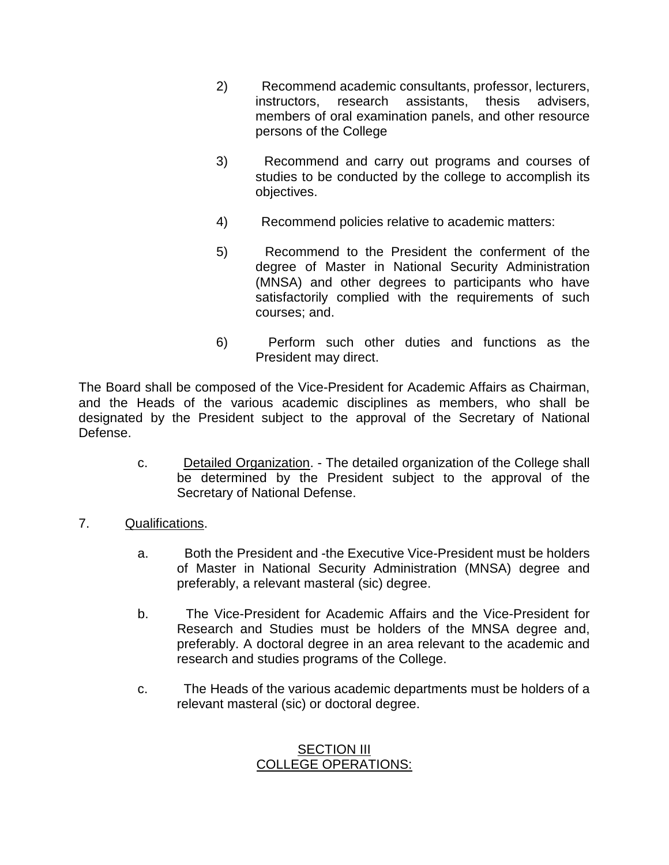- 2) Recommend academic consultants, professor, lecturers, instructors, research assistants, thesis advisers, members of oral examination panels, and other resource persons of the College
- 3) Recommend and carry out programs and courses of studies to be conducted by the college to accomplish its objectives.
- 4) Recommend policies relative to academic matters:
- 5) Recommend to the President the conferment of the degree of Master in National Security Administration (MNSA) and other degrees to participants who have satisfactorily complied with the requirements of such courses; and.
- 6) Perform such other duties and functions as the President may direct.

The Board shall be composed of the Vice-President for Academic Affairs as Chairman, and the Heads of the various academic disciplines as members, who shall be designated by the President subject to the approval of the Secretary of National Defense.

- c. Detailed Organization. The detailed organization of the College shall be determined by the President subject to the approval of the Secretary of National Defense.
- 7. Qualifications.
	- a. Both the President and -the Executive Vice-President must be holders of Master in National Security Administration (MNSA) degree and preferably, a relevant masteral (sic) degree.
	- b. The Vice-President for Academic Affairs and the Vice-President for Research and Studies must be holders of the MNSA degree and, preferably. A doctoral degree in an area relevant to the academic and research and studies programs of the College.
	- c. The Heads of the various academic departments must be holders of a relevant masteral (sic) or doctoral degree.

# SECTION III COLLEGE OPERATIONS: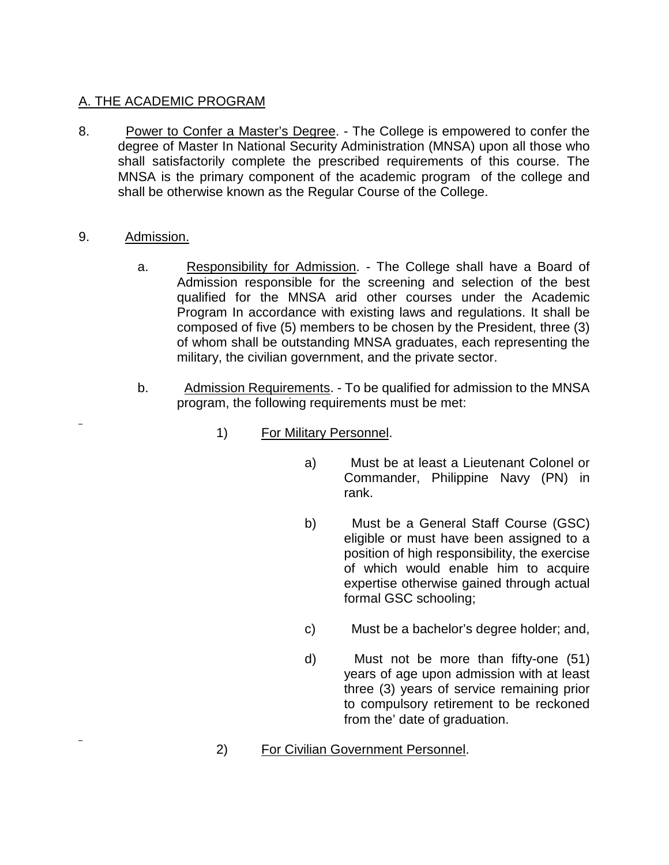# A. THE ACADEMIC PROGRAM

- 8. Power to Confer a Master's Degree. The College is empowered to confer the degree of Master In National Security Administration (MNSA) upon all those who shall satisfactorily complete the prescribed requirements of this course. The MNSA is the primary component of the academic program of the college and shall be otherwise known as the Regular Course of the College.
- 9. Admission.
	- a. Responsibility for Admission. The College shall have a Board of Admission responsible for the screening and selection of the best qualified for the MNSA arid other courses under the Academic Program In accordance with existing laws and regulations. It shall be composed of five (5) members to be chosen by the President, three (3) of whom shall be outstanding MNSA graduates, each representing the military, the civilian government, and the private sector.
	- b. Admission Requirements. To be qualified for admission to the MNSA program, the following requirements must be met:
		- 1) For Military Personnel.
			- a) Must be at least a Lieutenant Colonel or Commander, Philippine Navy (PN) in rank.
			- b) Must be a General Staff Course (GSC) eligible or must have been assigned to a position of high responsibility, the exercise of which would enable him to acquire expertise otherwise gained through actual formal GSC schooling;
			- c) Must be a bachelor's degree holder; and,
			- d) Must not be more than fifty-one (51) years of age upon admission with at least three (3) years of service remaining prior to compulsory retirement to be reckoned from the' date of graduation.
		- 2) For Civilian Government Personnel.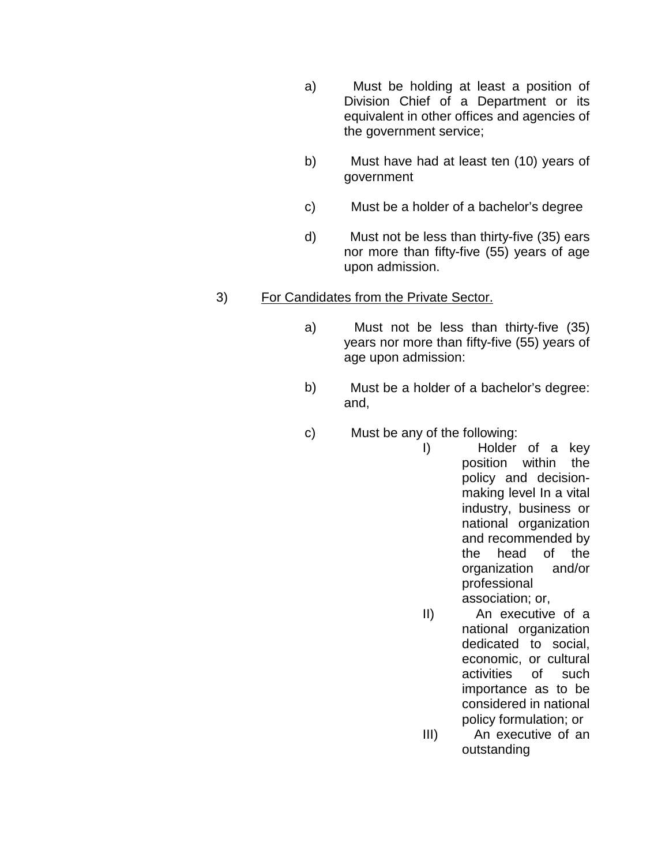- a) Must be holding at least a position of Division Chief of a Department or its equivalent in other offices and agencies of the government service;
- b) Must have had at least ten (10) years of government
- c) Must be a holder of a bachelor's degree
- d) Must not be less than thirty-five (35) ears nor more than fifty-five (55) years of age upon admission.

# 3) For Candidates from the Private Sector.

- a) Must not be less than thirty-five (35) years nor more than fifty-five (55) years of age upon admission:
- b) Must be a holder of a bachelor's degree: and,
- c) Must be any of the following:
	- I) Holder of a key position within the policy and decisionmaking level In a vital industry, business or national organization and recommended by the head of the organization and/or professional association; or,
	- II) An executive of a national organization dedicated to social, economic, or cultural activities of such importance as to be considered in national policy formulation; or
	- III) An executive of an outstanding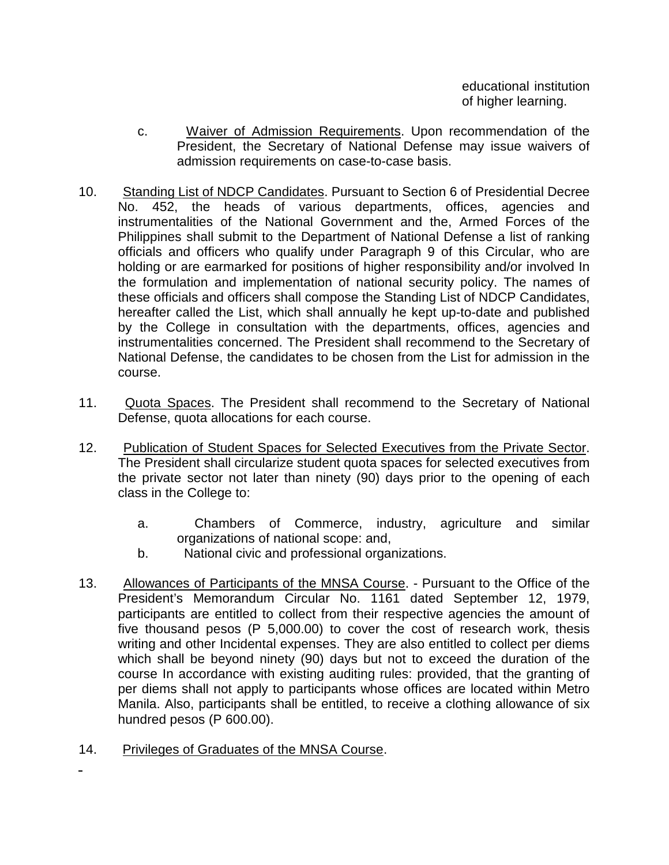educational institution of higher learning.

- c. Waiver of Admission Requirements. Upon recommendation of the President, the Secretary of National Defense may issue waivers of admission requirements on case-to-case basis.
- 10. Standing List of NDCP Candidates. Pursuant to Section 6 of Presidential Decree No. 452, the heads of various departments, offices, agencies and instrumentalities of the National Government and the, Armed Forces of the Philippines shall submit to the Department of National Defense a list of ranking officials and officers who qualify under Paragraph 9 of this Circular, who are holding or are earmarked for positions of higher responsibility and/or involved In the formulation and implementation of national security policy. The names of these officials and officers shall compose the Standing List of NDCP Candidates, hereafter called the List, which shall annually he kept up-to-date and published by the College in consultation with the departments, offices, agencies and instrumentalities concerned. The President shall recommend to the Secretary of National Defense, the candidates to be chosen from the List for admission in the course.
- 11. Quota Spaces. The President shall recommend to the Secretary of National Defense, quota allocations for each course.
- 12. Publication of Student Spaces for Selected Executives from the Private Sector. The President shall circularize student quota spaces for selected executives from the private sector not later than ninety (90) days prior to the opening of each class in the College to:
	- a. Chambers of Commerce, industry, agriculture and similar organizations of national scope: and,
	- b. National civic and professional organizations.
- 13. Allowances of Participants of the MNSA Course. Pursuant to the Office of the President's Memorandum Circular No. 1161 dated September 12, 1979, participants are entitled to collect from their respective agencies the amount of five thousand pesos (P 5,000.00) to cover the cost of research work, thesis writing and other Incidental expenses. They are also entitled to collect per diems which shall be beyond ninety (90) days but not to exceed the duration of the course In accordance with existing auditing rules: provided, that the granting of per diems shall not apply to participants whose offices are located within Metro Manila. Also, participants shall be entitled, to receive a clothing allowance of six hundred pesos (P 600.00).
- 14. Privileges of Graduates of the MNSA Course.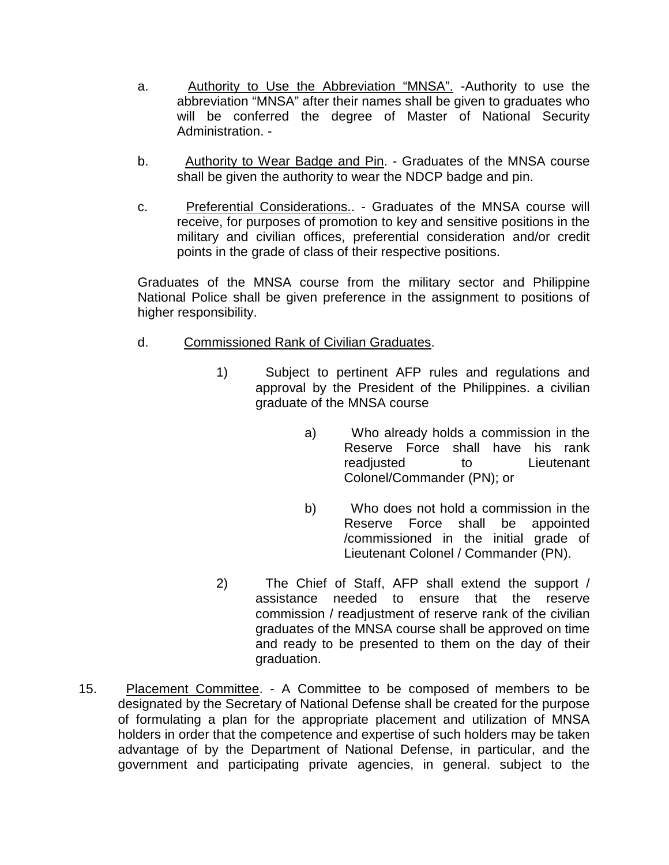- a. Authority to Use the Abbreviation "MNSA". Authority to use the abbreviation "MNSA" after their names shall be given to graduates who will be conferred the degree of Master of National Security Administration. -
- b. Authority to Wear Badge and Pin. Graduates of the MNSA course shall be given the authority to wear the NDCP badge and pin.
- c. Preferential Considerations.. Graduates of the MNSA course will receive, for purposes of promotion to key and sensitive positions in the military and civilian offices, preferential consideration and/or credit points in the grade of class of their respective positions.

Graduates of the MNSA course from the military sector and Philippine National Police shall be given preference in the assignment to positions of higher responsibility.

- d. Commissioned Rank of Civilian Graduates.
	- 1) Subject to pertinent AFP rules and regulations and approval by the President of the Philippines. a civilian graduate of the MNSA course
		- a) Who already holds a commission in the Reserve Force shall have his rank readjusted to Lieutenant Colonel/Commander (PN); or
		- b) Who does not hold a commission in the Reserve Force shall be appointed /commissioned in the initial grade of Lieutenant Colonel / Commander (PN).
	- 2) The Chief of Staff, AFP shall extend the support / assistance needed to ensure that the reserve commission / readjustment of reserve rank of the civilian graduates of the MNSA course shall be approved on time and ready to be presented to them on the day of their graduation.
- 15. Placement Committee. A Committee to be composed of members to be designated by the Secretary of National Defense shall be created for the purpose of formulating a plan for the appropriate placement and utilization of MNSA holders in order that the competence and expertise of such holders may be taken advantage of by the Department of National Defense, in particular, and the government and participating private agencies, in general. subject to the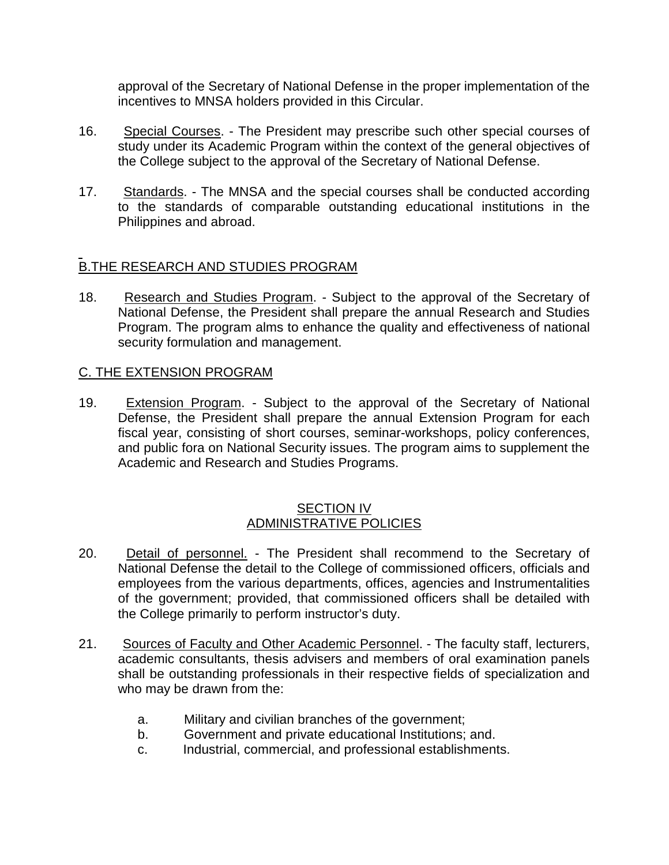approval of the Secretary of National Defense in the proper implementation of the incentives to MNSA holders provided in this Circular.

- 16. Special Courses. The President may prescribe such other special courses of study under its Academic Program within the context of the general objectives of the College subject to the approval of the Secretary of National Defense.
- 17. Standards. The MNSA and the special courses shall be conducted according to the standards of comparable outstanding educational institutions in the Philippines and abroad.

# B.THE RESEARCH AND STUDIES PROGRAM

18. Research and Studies Program. - Subject to the approval of the Secretary of National Defense, the President shall prepare the annual Research and Studies Program. The program alms to enhance the quality and effectiveness of national security formulation and management.

### C. THE EXTENSION PROGRAM

19. Extension Program. - Subject to the approval of the Secretary of National Defense, the President shall prepare the annual Extension Program for each fiscal year, consisting of short courses, seminar-workshops, policy conferences, and public fora on National Security issues. The program aims to supplement the Academic and Research and Studies Programs.

#### SECTION IV ADMINISTRATIVE POLICIES

- 20. Detail of personnel. The President shall recommend to the Secretary of National Defense the detail to the College of commissioned officers, officials and employees from the various departments, offices, agencies and Instrumentalities of the government; provided, that commissioned officers shall be detailed with the College primarily to perform instructor's duty.
- 21. Sources of Faculty and Other Academic Personnel. The faculty staff, lecturers, academic consultants, thesis advisers and members of oral examination panels shall be outstanding professionals in their respective fields of specialization and who may be drawn from the:
	- a. Military and civilian branches of the government;
	- b. Government and private educational Institutions; and.
	- c. Industrial, commercial, and professional establishments.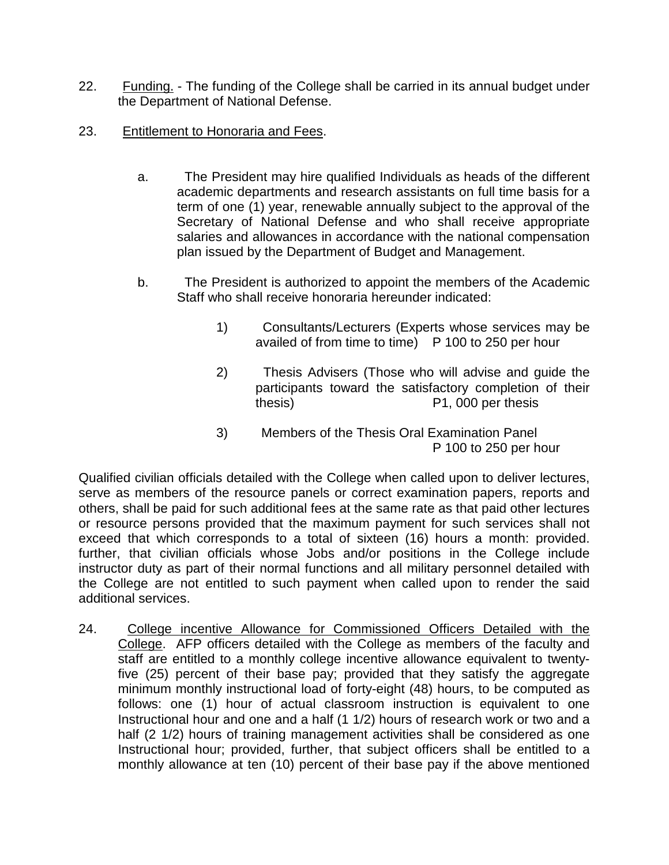- 22. Funding. The funding of the College shall be carried in its annual budget under the Department of National Defense.
- 23. Entitlement to Honoraria and Fees.
	- a. The President may hire qualified Individuals as heads of the different academic departments and research assistants on full time basis for a term of one (1) year, renewable annually subject to the approval of the Secretary of National Defense and who shall receive appropriate salaries and allowances in accordance with the national compensation plan issued by the Department of Budget and Management.
	- b. The President is authorized to appoint the members of the Academic Staff who shall receive honoraria hereunder indicated:
		- 1) Consultants/Lecturers (Experts whose services may be availed of from time to time) P 100 to 250 per hour
		- 2) Thesis Advisers (Those who will advise and guide the participants toward the satisfactory completion of their thesis) P1, 000 per thesis
		- 3) Members of the Thesis Oral Examination Panel P 100 to 250 per hour

Qualified civilian officials detailed with the College when called upon to deliver lectures, serve as members of the resource panels or correct examination papers, reports and others, shall be paid for such additional fees at the same rate as that paid other lectures or resource persons provided that the maximum payment for such services shall not exceed that which corresponds to a total of sixteen (16) hours a month: provided. further, that civilian officials whose Jobs and/or positions in the College include instructor duty as part of their normal functions and all military personnel detailed with the College are not entitled to such payment when called upon to render the said additional services.

24. College incentive Allowance for Commissioned Officers Detailed with the College. AFP officers detailed with the College as members of the faculty and staff are entitled to a monthly college incentive allowance equivalent to twentyfive (25) percent of their base pay; provided that they satisfy the aggregate minimum monthly instructional load of forty-eight (48) hours, to be computed as follows: one (1) hour of actual classroom instruction is equivalent to one Instructional hour and one and a half (1 1/2) hours of research work or two and a half (2 1/2) hours of training management activities shall be considered as one Instructional hour; provided, further, that subject officers shall be entitled to a monthly allowance at ten (10) percent of their base pay if the above mentioned